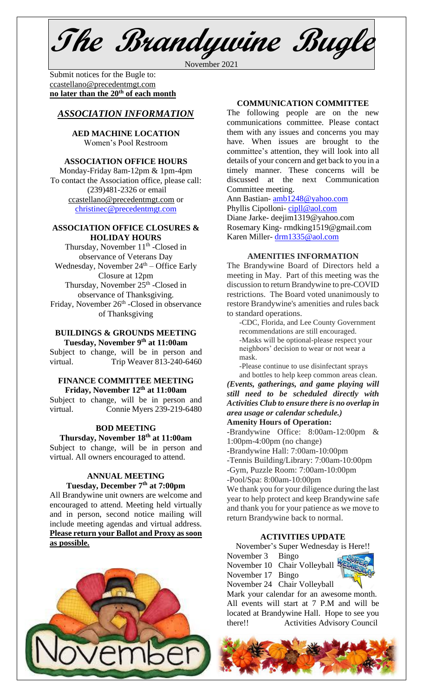**The Brandywine Bugle**

November 2021

Submit notices for the Bugle to: [ccastellano@precedentmgt.com](mailto:johnandbethgrooms@gmail.com) **no later than the 20th of each month**

# *ASSOCIATION INFORMATION*

**AED MACHINE LOCATION**  Women's Pool Restroom

### **ASSOCIATION OFFICE HOURS**

Monday-Friday 8am-12pm & 1pm-4pm To contact the Association office, please call: (239)481-2326 or email [ccastellano@precedentmgt.com](mailto:ccastellano@precedentmgt.com) or [christinec@precedentmgt.com](mailto:christinec@precedentmgt.com)

#### **ASSOCIATION OFFICE CLOSURES & HOLIDAY HOURS**

Thursday, November  $11<sup>th</sup>$  -Closed in observance of Veterans Day Wednesday, November  $24<sup>th</sup>$  – Office Early Closure at 12pm Thursday, November 25<sup>th</sup> -Closed in observance of Thanksgiving. Friday, November 26<sup>th</sup> -Closed in observance of Thanksgiving

# **BUILDINGS & GROUNDS MEETING Tuesday, November 9 th at 11:00am**

Subject to change, will be in person and virtual. Trip Weaver 813-240-6460

### **FINANCE COMMITTEE MEETING Friday, November 12 th at 11:00am**

Subject to change, will be in person and virtual. Connie Myers 239-219-6480

#### **BOD MEETING**

**Thursday, November 18th at 11:00am** Subject to change, will be in person and virtual. All owners encouraged to attend.

# **ANNUAL MEETING Tuesday, December 7 th at 7:00pm**

All Brandywine unit owners are welcome and encouraged to attend. Meeting held virtually and in person, second notice mailing will include meeting agendas and virtual address. **Please return your Ballot and Proxy as soon as possible.**



The following people are on the new communications committee. Please contact them with any issues and concerns you may have. When issues are brought to the committee's attention, they will look into all details of your concern and get back to you in a timely manner. These concerns will be discussed at the next Communication Committee meeting.

Ann Bastian- [amb1248@yahoo.com](mailto:amb1248@yahoo.com) Phyllis Cipolloni- [cipll@aol.com](mailto:cipll@aol.com) Diane Jarke- deejim1319@yahoo.com Rosemary King- rmdking1519@gmail.com Karen Miller- [drm1335@aol.com](mailto:drm1335@aol.com)

#### **AMENITIES INFORMATION**

The Brandywine Board of Directors held a meeting in May. Part of this meeting was the discussion to return Brandywine to pre-COVID restrictions. The Board voted unanimously to restore Brandywine's amenities and rules back to standard operations.

-CDC, Florida, and Lee County Government recommendations are still encouraged. -Masks will be optional-please respect your neighbors' decision to wear or not wear a mask.

-Please continue to use disinfectant sprays and bottles to help keep common areas clean.

*(Events, gatherings, and game playing will still need to be scheduled directly with Activities Club to ensure there is no overlap in area usage or calendar schedule.)*

# **Amenity Hours of Operation:**

-Brandywine Office: 8:00am-12:00pm & 1:00pm-4:00pm (no change)

-Brandywine Hall: 7:00am-10:00pm

-Tennis Building/Library: 7:00am-10:00pm

-Gym, Puzzle Room: 7:00am-10:00pm

-Pool/Spa: 8:00am-10:00pm

We thank you for your diligence during the last year to help protect and keep Brandywine safe and thank you for your patience as we move to return Brandywine back to normal.

#### **ACTIVITIES UPDATE**

November's Super Wednesday is Here!!

November 3 Bingo November 10 Chair Volleyball

November 17 Bingo

November 24 Chair Volleyball

Mark your calendar for an awesome month. All events will start at 7 P.M and will be located at Brandywine Hall. Hope to see you there!! Activities Advisory Council



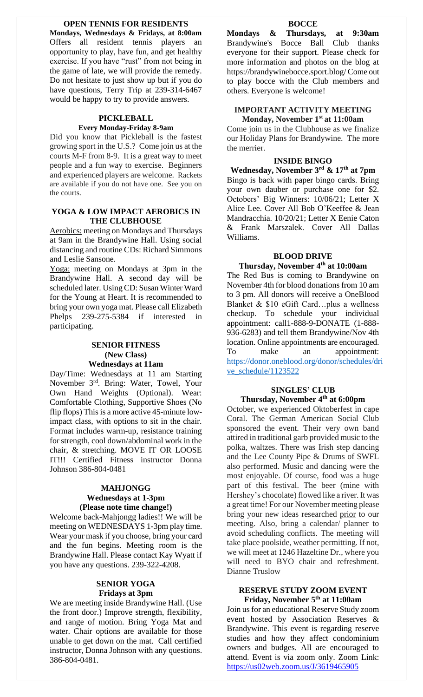# **OPEN TENNIS FOR RESIDENTS**

**Mondays, Wednesdays & Fridays, at 8:00am** Offers all resident tennis players an opportunity to play, have fun, and get healthy exercise. If you have "rust" from not being in the game of late, we will provide the remedy. Do not hesitate to just show up but if you do have questions, Terry Trip at 239-314-6467 would be happy to try to provide answers.

#### **PICKLEBALL Every Monday-Friday 8-9am**

Did you know that Pickleball is the fastest growing sport in the U.S.? Come join us at the courts M-F from 8-9. It is a great way to meet people and a fun way to exercise. Beginners and experienced players are welcome. Rackets are available if you do not have one. See you on the courts.

### **YOGA & LOW IMPACT AEROBICS IN THE CLUBHOUSE**

Aerobics: meeting on Mondays and Thursdays at 9am in the Brandywine Hall. Using social distancing and routine CDs: Richard Simmons and Leslie Sansone.

Yoga: meeting on Mondays at 3pm in the Brandywine Hall. A second day will be scheduled later. Using CD: Susan Winter Ward for the Young at Heart. It is recommended to bring your own yoga mat. Please call Elizabeth Phelps 239-275-5384 if interested in participating.

### **SENIOR FITNESS (New Class) Wednesdays at 11am**

Day/Time: Wednesdays at 11 am Starting November 3<sup>rd</sup>. Bring: Water, Towel, Your Own Hand Weights (Optional). Wear: Comfortable Clothing, Supportive Shoes (No flip flops) This is a more active 45-minute lowimpact class, with options to sit in the chair. Format includes warm-up, resistance training for strength, cool down/abdominal work in the chair, & stretching. MOVE IT OR LOOSE IT!!! Certified Fitness instructor Donna Johnson 386-804-0481

## **MAHJONGG Wednesdays at 1-3pm (Please note time change!)**

Welcome back-Mahjongg ladies!! We will be meeting on WEDNESDAYS 1-3pm play time. Wear your mask if you choose, bring your card and the fun begins. Meeting room is the Brandywine Hall. Please contact Kay Wyatt if you have any questions. 239-322-4208.

#### **SENIOR YOGA Fridays at 3pm**

We are meeting inside Brandywine Hall. (Use the front door.) Improve strength, flexibility, and range of motion. Bring Yoga Mat and water. Chair options are available for those unable to get down on the mat. Call certified instructor, Donna Johnson with any questions. 386-804-0481.

#### **BOCCE**

**Mondays & Thursdays, at 9:30am** Brandywine's Bocce Ball Club thanks everyone for their support. Please check for more information and photos on the blog at https://brandywinebocce.sport.blog/ Come out to play bocce with the Club members and others. Everyone is welcome!

## **IMPORTANT ACTIVITY MEETING Monday, November 1 st at 11:00am**

Come join us in the Clubhouse as we finalize our Holiday Plans for Brandywine. The more the merrier.

#### **INSIDE BINGO**

**Wednesday, November 3 rd & 17th at 7pm** Bingo is back with paper bingo cards. Bring your own dauber or purchase one for \$2. Octobers' Big Winners: 10/06/21; Letter X Alice Lee. Cover All Bob O'Keeffee & Jean Mandracchia. 10/20/21; Letter X Eenie Caton & Frank Marszalek. Cover All Dallas Williams.

#### **BLOOD DRIVE**

**Thursday, November 4 th at 10:00am** The Red Bus is coming to Brandywine on November 4th for blood donations from 10 am to 3 pm. All donors will receive a OneBlood Blanket & \$10 eGift Card…plus a wellness checkup. To schedule your individual appointment: call1-888-9-DONATE (1-888- 936-6283) and tell them Brandywine/Nov 4th location. Online appointments are encouraged. To make an appointment: [https://donor.oneblood.org/donor/schedules/dri](https://donor.oneblood.org/donor/schedules/drive_schedule/1123522) [ve\\_schedule/1123522](https://donor.oneblood.org/donor/schedules/drive_schedule/1123522)

## **SINGLES' CLUB Thursday, November 4 th at 6:00pm**

October, we experienced Oktoberfest in cape Coral. The German American Social Club sponsored the event. Their very own band attired in traditional garb provided music to the polka, waltzes. There was Irish step dancing and the Lee County Pipe & Drums of SWFL also performed. Music and dancing were the most enjoyable. Of course, food was a huge part of this festival. The beer (mine with Hershey's chocolate) flowed like a river. It was a great time! For our November meeting please bring your new ideas researched prior to our meeting. Also, bring a calendar/ planner to avoid scheduling conflicts. The meeting will take place poolside, weather permitting. If not, we will meet at 1246 Hazeltine Dr., where you will need to BYO chair and refreshment. Dianne Truslow

#### **RESERVE STUDY ZOOM EVENT Friday, November 5 th at 11:00am**

Join us for an educational Reserve Study zoom event hosted by Association Reserves & Brandywine. This event is regarding reserve studies and how they affect condominium owners and budges. All are encouraged to attend. Event is via zoom only. Zoom Link: <https://us02web.zoom.us/J/3619465905>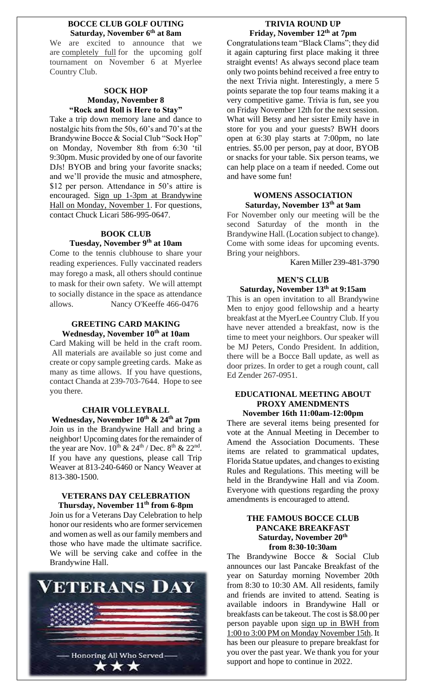#### **BOCCE CLUB GOLF OUTING Saturday, November 6th at 8am**

We are excited to announce that we are completely full for the upcoming golf tournament on November 6 at Myerlee Country Club.

# **SOCK HOP Monday, November 8 "Rock and Roll is Here to Stay"**

Take a trip down memory lane and dance to nostalgic hits from the 50s, 60's and 70's at the Brandywine Bocce & Social Club "Sock Hop" on Monday, November 8th from 6:30 'til 9:30pm. Music provided by one of our favorite DJs! BYOB and bring your favorite snacks; and we'll provide the music and atmosphere, \$12 per person. Attendance in 50's attire is encouraged. Sign up 1-3pm at Brandywine Hall on Monday, November 1. For questions, contact Chuck Licari 586-995-0647.

# **BOOK CLUB**

# **Tuesday, November 9 th at 10am**

Come to the tennis clubhouse to share your reading experiences. Fully vaccinated readers may forego a mask, all others should continue to mask for their own safety. We will attempt to socially distance in the space as attendance allows. Nancy O'Keeffe 466-0476

### **GREETING CARD MAKING Wednesday, November 10 th at 10am**

Card Making will be held in the craft room. All materials are available so just come and create or copy sample greeting cards. Make as many as time allows. If you have questions, contact Chanda at 239-703-7644. Hope to see you there.

# **CHAIR VOLLEYBALL**

**Wednesday, November 10 th & 24 th at 7pm** Join us in the Brandywine Hall and bring a neighbor! Upcoming dates for the remainder of the year are Nov.  $10^{th}$  &  $24^{th}$  / Dec.  $8^{th}$  &  $22^{nd}$ . If you have any questions, please call Trip Weaver at 813-240-6460 or Nancy Weaver at 813-380-1500.

### **VETERANS DAY CELEBRATION Thursday, November 11th from 6-8pm**

Join us for a Veterans Day Celebration to help honor our residents who are former servicemen and women as well as our family members and those who have made the ultimate sacrifice. We will be serving cake and coffee in the Brandywine Hall.



# **TRIVIA ROUND UP Friday, November 12th at 7pm**

Congratulations team "Black Clams"; they did it again capturing first place making it three straight events! As always second place team only two points behind received a free entry to the next Trivia night. Interestingly, a mere 5 points separate the top four teams making it a very competitive game. Trivia is fun, see you on Friday November 12th for the next session. What will Betsy and her sister Emily have in store for you and your guests? BWH doors open at 6:30 play starts at 7:00pm, no late entries. \$5.00 per person, pay at door, BYOB or snacks for your table. Six person teams, we can help place on a team if needed. Come out and have some fun!

### **WOMENS ASSOCIATION Saturday, November 13th at 9am**

For November only our meeting will be the second Saturday of the month in the Brandywine Hall. (Location subject to change). Come with some ideas for upcoming events. Bring your neighbors.

Karen Miller 239-481-3790

# **MEN'S CLUB Saturday, November 13th at 9:15am**

This is an open invitation to all Brandywine Men to enjoy good fellowship and a hearty breakfast at the MyerLee Country Club. If you have never attended a breakfast, now is the time to meet your neighbors. Our speaker will be MJ Peters, Condo President. In addition, there will be a Bocce Ball update, as well as door prizes. In order to get a rough count, call Ed Zender 267-0951.

#### **EDUCATIONAL MEETING ABOUT PROXY AMENDMENTS November 16th 11:00am-12:00pm**

There are several items being presented for vote at the Annual Meeting in December to Amend the Association Documents. These items are related to grammatical updates, Florida Statue updates, and changes to existing Rules and Regulations. This meeting will be held in the Brandywine Hall and via Zoom. Everyone with questions regarding the proxy amendments is encouraged to attend.

#### **THE FAMOUS BOCCE CLUB PANCAKE BREAKFAST Saturday, November 20th from 8:30-10:30am**

The Brandywine Bocce & Social Club announces our last Pancake Breakfast of the year on Saturday morning November 20th from 8:30 to 10:30 AM. All residents, family and friends are invited to attend. Seating is available indoors in Brandywine Hall or breakfasts can be takeout. The cost is \$8.00 per person payable upon sign up in BWH from 1:00 to 3:00 PM on Monday November 15th. It has been our pleasure to prepare breakfast for you over the past year. We thank you for your support and hope to continue in 2022.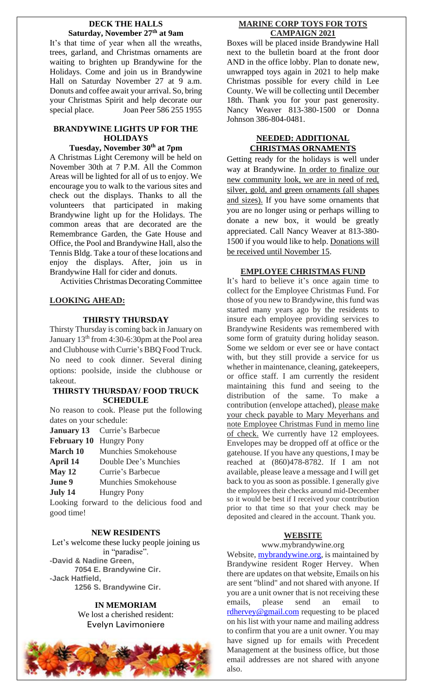### **DECK THE HALLS Saturday, November 27th at 9am**

It's that time of year when all the wreaths, trees, garland, and Christmas ornaments are waiting to brighten up Brandywine for the Holidays. Come and join us in Brandywine Hall on Saturday November 27 at 9 a.m. Donuts and coffee await your arrival. So, bring your Christmas Spirit and help decorate our special place. Joan Peer 586 255 1955

## **BRANDYWINE LIGHTS UP FOR THE HOLIDAYS**

# **Tuesday, November 30th at 7pm**

A Christmas Light Ceremony will be held on November 30th at 7 P.M. All the Common Areas will be lighted for all of us to enjoy. We encourage you to walk to the various sites and check out the displays. Thanks to all the volunteers that participated in making Brandywine light up for the Holidays. The common areas that are decorated are the Remembrance Garden, the Gate House and Office, the Pool and Brandywine Hall, also the Tennis Bldg. Take a tour of these locations and enjoy the displays. After, join us in Brandywine Hall for cider and donuts.

Activities Christmas Decorating Committee

# **LOOKING AHEAD:**

# **THIRSTY THURSDAY**

Thirsty Thursday is coming back in January on January 13th from 4:30-6:30pm at the Pool area and Clubhouse with Currie's BBQ Food Truck. No need to cook dinner. Several dining options: poolside, inside the clubhouse or takeout.

# **THIRSTY THURSDAY/ FOOD TRUCK SCHEDULE**

No reason to cook. Please put the following dates on your schedule:

- **January 13** Currie's Barbecue
- **February 10** Hungry Pony
- **March 10** Munchies Smokehouse
- **April 14** Double Dee's Munchies
- **May 12** Currie's Barbecue
- **June 9** Munchies Smokehouse
- 
- **July 14** Hungry Pony

Looking forward to the delicious food and good time!

# **NEW RESIDENTS**

Let's welcome these lucky people joining us in "paradise". **-David & Nadine Green, 7054 E. Brandywine Cir. -Jack Hatfield, 1256 S. Brandywine Cir.**

# **IN MEMORIAM**

We lost a cherished resident: Evelyn Lavimoniere



# **MARINE CORP TOYS FOR TOTS CAMPAIGN 2021**

Boxes will be placed inside Brandywine Hall next to the bulletin board at the front door AND in the office lobby. Plan to donate new, unwrapped toys again in 2021 to help make Christmas possible for every child in Lee County. We will be collecting until December 18th. Thank you for your past generosity. Nancy Weaver 813-380-1500 or Donna Johnson 386-804-0481.

# **NEEDED: ADDITIONAL CHRISTMAS ORNAMENTS**

Getting ready for the holidays is well under way at Brandywine. In order to finalize our new community look, we are in need of red, silver, gold, and green ornaments (all shapes and sizes). If you have some ornaments that you are no longer using or perhaps willing to donate a new box, it would be greatly appreciated. Call Nancy Weaver at 813-380- 1500 if you would like to help. Donations will be received until November 15.

# **EMPLOYEE CHRISTMAS FUND**

It's hard to believe it's once again time to collect for the Employee Christmas Fund. For those of you new to Brandywine, this fund was started many years ago by the residents to insure each employee providing services to Brandywine Residents was remembered with some form of gratuity during holiday season. Some we seldom or ever see or have contact with, but they still provide a service for us whether in maintenance, cleaning, gatekeepers, or office staff. I am currently the resident maintaining this fund and seeing to the distribution of the same. To make a contribution (envelope attached), please make your check payable to Mary Meyerhans and note Employee Christmas Fund in memo line of check. We currently have 12 employees. Envelopes may be dropped off at office or the gatehouse. If you have any questions, I may be reached at (860)478-8782. If I am not available, please leave a message and I will get back to you as soon as possible. I generally give the employees their checks around mid-December so it would be best if I received your contribution prior to that time so that your check may be deposited and cleared in the account. Thank you.

# **WEBSITE**

# www.mybrandywine.org

Website, **mybrandywine.org**, is maintained by Brandywine resident Roger Hervey. When there are updates on that website, Emails on his are sent "blind" and not shared with anyone. If you are a unit owner that is not receiving these emails, please send an email to [rdhervey@gmail.com](mailto:rdhervey@gmail.com) requesting to be placed on his list with your name and mailing address to confirm that you are a unit owner. You may have signed up for emails with Precedent Management at the business office, but those email addresses are not shared with anyone also.